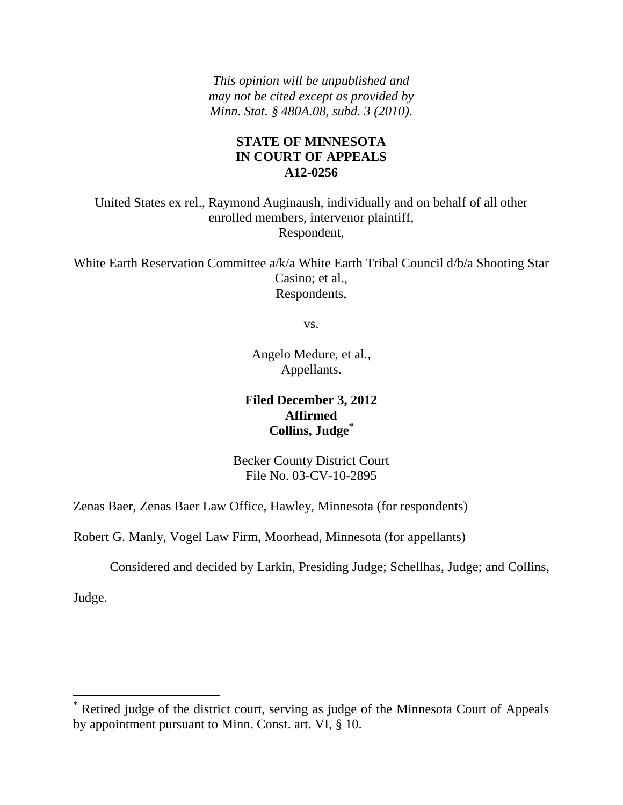*This opinion will be unpublished and may not be cited except as provided by Minn. Stat. § 480A.08, subd. 3 (2010).*

# **STATE OF MINNESOTA IN COURT OF APPEALS A12-0256**

United States ex rel., Raymond Auginaush, individually and on behalf of all other enrolled members, intervenor plaintiff, Respondent,

White Earth Reservation Committee a/k/a White Earth Tribal Council d/b/a Shooting Star Casino; et al., Respondents,

vs.

Angelo Medure, et al., Appellants.

# **Filed December 3, 2012 Affirmed Collins, Judge\***

Becker County District Court File No. 03-CV-10-2895

Zenas Baer, Zenas Baer Law Office, Hawley, Minnesota (for respondents)

Robert G. Manly, Vogel Law Firm, Moorhead, Minnesota (for appellants)

Considered and decided by Larkin, Presiding Judge; Schellhas, Judge; and Collins,

Judge.

 $\overline{a}$ 

<sup>\*</sup> Retired judge of the district court, serving as judge of the Minnesota Court of Appeals by appointment pursuant to Minn. Const. art. VI, § 10.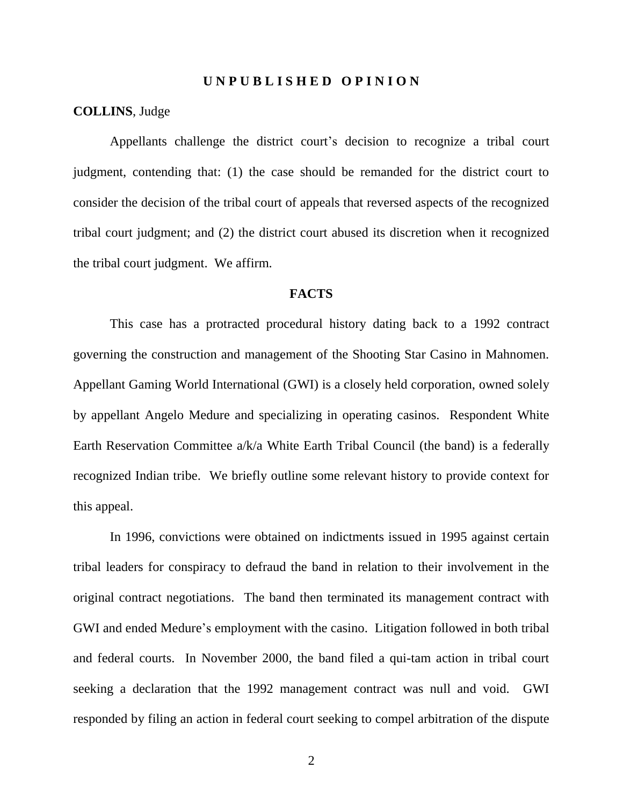#### **U N P U B L I S H E D O P I N I O N**

#### **COLLINS**, Judge

Appellants challenge the district court's decision to recognize a tribal court judgment, contending that: (1) the case should be remanded for the district court to consider the decision of the tribal court of appeals that reversed aspects of the recognized tribal court judgment; and (2) the district court abused its discretion when it recognized the tribal court judgment. We affirm.

#### **FACTS**

This case has a protracted procedural history dating back to a 1992 contract governing the construction and management of the Shooting Star Casino in Mahnomen. Appellant Gaming World International (GWI) is a closely held corporation, owned solely by appellant Angelo Medure and specializing in operating casinos. Respondent White Earth Reservation Committee a/k/a White Earth Tribal Council (the band) is a federally recognized Indian tribe. We briefly outline some relevant history to provide context for this appeal.

In 1996, convictions were obtained on indictments issued in 1995 against certain tribal leaders for conspiracy to defraud the band in relation to their involvement in the original contract negotiations. The band then terminated its management contract with GWI and ended Medure's employment with the casino. Litigation followed in both tribal and federal courts. In November 2000, the band filed a qui-tam action in tribal court seeking a declaration that the 1992 management contract was null and void. GWI responded by filing an action in federal court seeking to compel arbitration of the dispute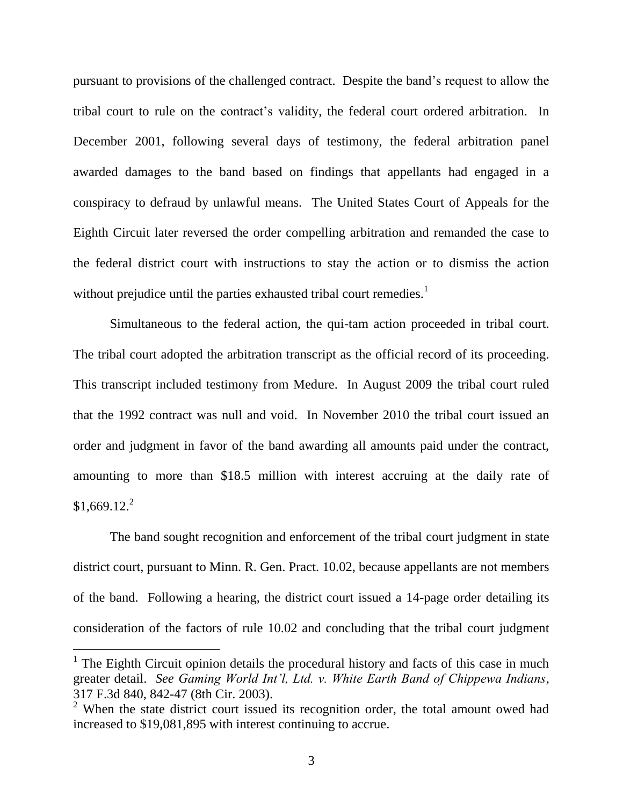pursuant to provisions of the challenged contract. Despite the band's request to allow the tribal court to rule on the contract's validity, the federal court ordered arbitration. In December 2001, following several days of testimony, the federal arbitration panel awarded damages to the band based on findings that appellants had engaged in a conspiracy to defraud by unlawful means. The United States Court of Appeals for the Eighth Circuit later reversed the order compelling arbitration and remanded the case to the federal district court with instructions to stay the action or to dismiss the action without prejudice until the parties exhausted tribal court remedies.<sup>1</sup>

Simultaneous to the federal action, the qui-tam action proceeded in tribal court. The tribal court adopted the arbitration transcript as the official record of its proceeding. This transcript included testimony from Medure. In August 2009 the tribal court ruled that the 1992 contract was null and void. In November 2010 the tribal court issued an order and judgment in favor of the band awarding all amounts paid under the contract, amounting to more than \$18.5 million with interest accruing at the daily rate of  $$1,669.12.<sup>2</sup>$ 

The band sought recognition and enforcement of the tribal court judgment in state district court, pursuant to Minn. R. Gen. Pract. 10.02, because appellants are not members of the band. Following a hearing, the district court issued a 14-page order detailing its consideration of the factors of rule 10.02 and concluding that the tribal court judgment

<sup>&</sup>lt;sup>1</sup> The Eighth Circuit opinion details the procedural history and facts of this case in much greater detail. *See Gaming World Int'l, Ltd. v. White Earth Band of Chippewa Indians*, 317 F.3d 840, 842-47 (8th Cir. 2003).

 $2$  When the state district court issued its recognition order, the total amount owed had increased to \$19,081,895 with interest continuing to accrue.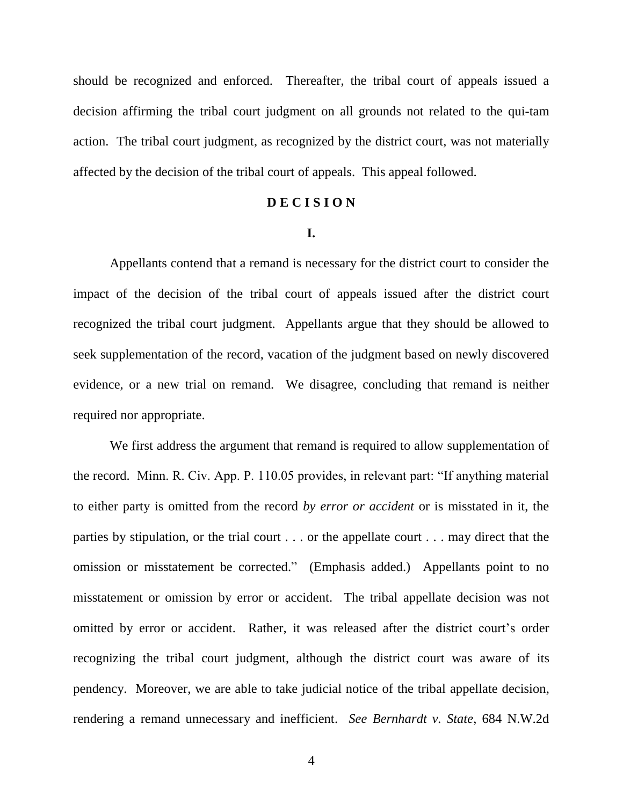should be recognized and enforced. Thereafter, the tribal court of appeals issued a decision affirming the tribal court judgment on all grounds not related to the qui-tam action. The tribal court judgment, as recognized by the district court, was not materially affected by the decision of the tribal court of appeals. This appeal followed.

## **D E C I S I O N**

#### **I.**

Appellants contend that a remand is necessary for the district court to consider the impact of the decision of the tribal court of appeals issued after the district court recognized the tribal court judgment. Appellants argue that they should be allowed to seek supplementation of the record, vacation of the judgment based on newly discovered evidence, or a new trial on remand. We disagree, concluding that remand is neither required nor appropriate.

We first address the argument that remand is required to allow supplementation of the record. Minn. R. Civ. App. P. 110.05 provides, in relevant part: "If anything material to either party is omitted from the record *by error or accident* or is misstated in it, the parties by stipulation, or the trial court . . . or the appellate court . . . may direct that the omission or misstatement be corrected." (Emphasis added.) Appellants point to no misstatement or omission by error or accident. The tribal appellate decision was not omitted by error or accident. Rather, it was released after the district court's order recognizing the tribal court judgment, although the district court was aware of its pendency. Moreover, we are able to take judicial notice of the tribal appellate decision, rendering a remand unnecessary and inefficient. *See Bernhardt v. State*, 684 N.W.2d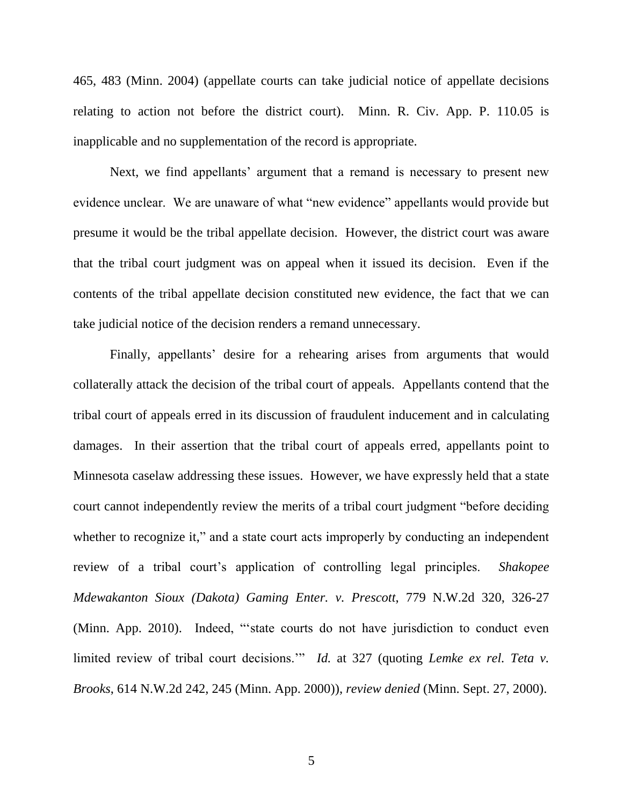465, 483 (Minn. 2004) (appellate courts can take judicial notice of appellate decisions relating to action not before the district court). Minn. R. Civ. App. P. 110.05 is inapplicable and no supplementation of the record is appropriate.

Next, we find appellants' argument that a remand is necessary to present new evidence unclear. We are unaware of what "new evidence" appellants would provide but presume it would be the tribal appellate decision. However, the district court was aware that the tribal court judgment was on appeal when it issued its decision. Even if the contents of the tribal appellate decision constituted new evidence, the fact that we can take judicial notice of the decision renders a remand unnecessary.

Finally, appellants' desire for a rehearing arises from arguments that would collaterally attack the decision of the tribal court of appeals. Appellants contend that the tribal court of appeals erred in its discussion of fraudulent inducement and in calculating damages. In their assertion that the tribal court of appeals erred, appellants point to Minnesota caselaw addressing these issues. However, we have expressly held that a state court cannot independently review the merits of a tribal court judgment "before deciding whether to recognize it," and a state court acts improperly by conducting an independent review of a tribal court's application of controlling legal principles. *Shakopee Mdewakanton Sioux (Dakota) Gaming Enter. v. Prescott*, 779 N.W.2d 320, 326-27 (Minn. App. 2010). Indeed, "'state courts do not have jurisdiction to conduct even limited review of tribal court decisions.'" *Id.* at 327 (quoting *Lemke ex rel. Teta v. Brooks*, 614 N.W.2d 242, 245 (Minn. App. 2000)), *review denied* (Minn. Sept. 27, 2000).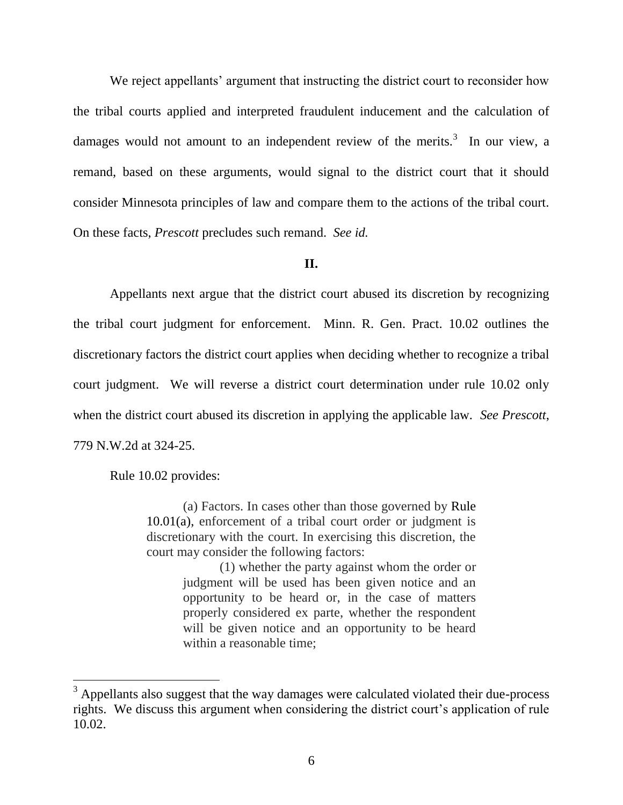We reject appellants' argument that instructing the district court to reconsider how the tribal courts applied and interpreted fraudulent inducement and the calculation of damages would not amount to an independent review of the merits.<sup>3</sup> In our view, a remand, based on these arguments, would signal to the district court that it should consider Minnesota principles of law and compare them to the actions of the tribal court. On these facts, *Prescott* precludes such remand. *See id.*

### **II.**

Appellants next argue that the district court abused its discretion by recognizing the tribal court judgment for enforcement. Minn. R. Gen. Pract. 10.02 outlines the discretionary factors the district court applies when deciding whether to recognize a tribal court judgment. We will reverse a district court determination under rule 10.02 only when the district court abused its discretion in applying the applicable law. *See Prescott*, 779 N.W.2d at 324-25.

Rule 10.02 provides:

(a) Factors. In cases other than those governed by [Rule](https://1.next.westlaw.com/Link/Document/FullText?findType=L&pubNum=1004966&cite=MNSTGENPR10.01&originatingDoc=NBB096B10A7FE11DBB5DDAC3692B918BC&refType=LQ&originationContext=document&transitionType=DocumentItem&contextData=(sc.Document))  [10.01\(](https://1.next.westlaw.com/Link/Document/FullText?findType=L&pubNum=1004966&cite=MNSTGENPR10.01&originatingDoc=NBB096B10A7FE11DBB5DDAC3692B918BC&refType=LQ&originationContext=document&transitionType=DocumentItem&contextData=(sc.Document))a), enforcement of a tribal court order or judgment is discretionary with the court. In exercising this discretion, the court may consider the following factors:

> (1) whether the party against whom the order or judgment will be used has been given notice and an opportunity to be heard or, in the case of matters properly considered ex parte, whether the respondent will be given notice and an opportunity to be heard within a reasonable time;

 $3$  Appellants also suggest that the way damages were calculated violated their due-process rights. We discuss this argument when considering the district court's application of rule 10.02.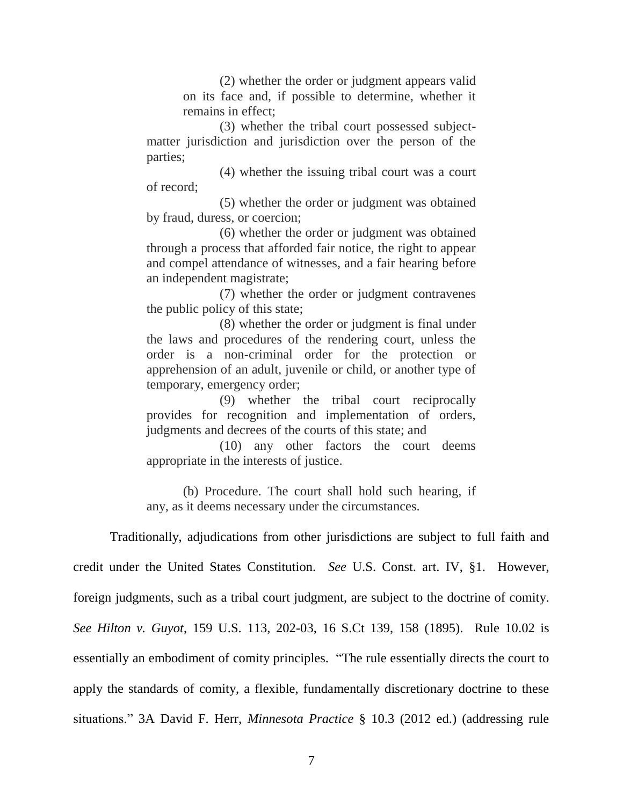(2) whether the order or judgment appears valid on its face and, if possible to determine, whether it remains in effect;

(3) whether the tribal court possessed subjectmatter jurisdiction and jurisdiction over the person of the parties;

(4) whether the issuing tribal court was a court of record;

(5) whether the order or judgment was obtained by fraud, duress, or coercion;

(6) whether the order or judgment was obtained through a process that afforded fair notice, the right to appear and compel attendance of witnesses, and a fair hearing before an independent magistrate;

(7) whether the order or judgment contravenes the public policy of this state;

(8) whether the order or judgment is final under the laws and procedures of the rendering court, unless the order is a non-criminal order for the protection or apprehension of an adult, juvenile or child, or another type of temporary, emergency order;

(9) whether the tribal court reciprocally provides for recognition and implementation of orders, judgments and decrees of the courts of this state; and

(10) any other factors the court deems appropriate in the interests of justice.

(b) Procedure. The court shall hold such hearing, if any, as it deems necessary under the circumstances.

Traditionally, adjudications from other jurisdictions are subject to full faith and credit under the United States Constitution. *See* U.S. Const. art. IV, §1. However, foreign judgments, such as a tribal court judgment, are subject to the doctrine of comity. *See Hilton v. Guyot*, 159 U.S. 113, 202-03, 16 S.Ct 139, 158 (1895). Rule 10.02 is essentially an embodiment of comity principles. "The rule essentially directs the court to apply the standards of comity, a flexible, fundamentally discretionary doctrine to these situations." 3A David F. Herr, *Minnesota Practice* § 10.3 (2012 ed.) (addressing rule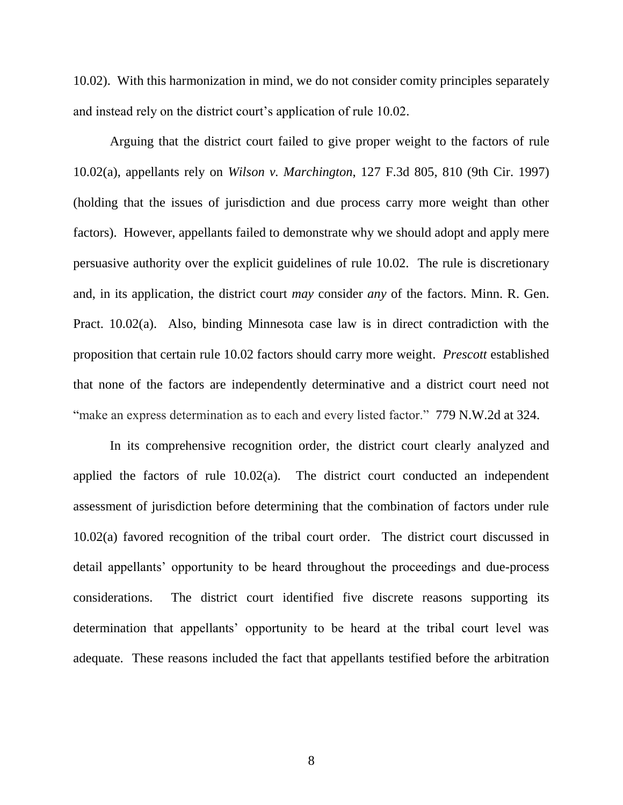10.02). With this harmonization in mind, we do not consider comity principles separately and instead rely on the district court's application of rule 10.02.

Arguing that the district court failed to give proper weight to the factors of rule 10.02(a), appellants rely on *Wilson v. Marchington*, 127 F.3d 805, 810 (9th Cir. 1997) (holding that the issues of jurisdiction and due process carry more weight than other factors). However, appellants failed to demonstrate why we should adopt and apply mere persuasive authority over the explicit guidelines of rule 10.02. The rule is discretionary and, in its application, the district court *may* consider *any* of the factors. Minn. R. Gen. Pract. 10.02(a). Also, binding Minnesota case law is in direct contradiction with the proposition that certain rule 10.02 factors should carry more weight. *Prescott* established that none of the factors are independently determinative and a district court need not "make an express determination as to each and every listed factor." 779 N.W.2d at 324.

In its comprehensive recognition order, the district court clearly analyzed and applied the factors of rule 10.02(a). The district court conducted an independent assessment of jurisdiction before determining that the combination of factors under rule 10.02(a) favored recognition of the tribal court order. The district court discussed in detail appellants' opportunity to be heard throughout the proceedings and due-process considerations. The district court identified five discrete reasons supporting its determination that appellants' opportunity to be heard at the tribal court level was adequate. These reasons included the fact that appellants testified before the arbitration

8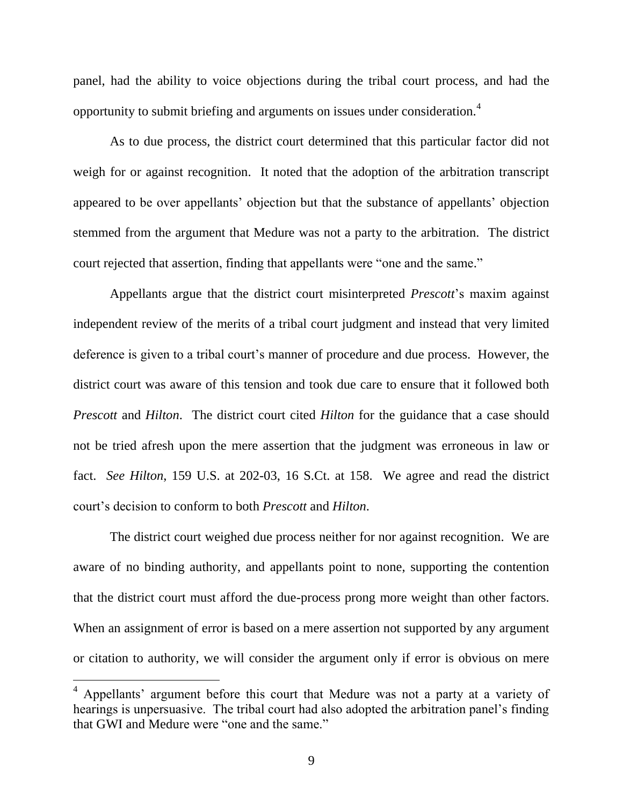panel, had the ability to voice objections during the tribal court process, and had the opportunity to submit briefing and arguments on issues under consideration.<sup>4</sup>

As to due process, the district court determined that this particular factor did not weigh for or against recognition. It noted that the adoption of the arbitration transcript appeared to be over appellants' objection but that the substance of appellants' objection stemmed from the argument that Medure was not a party to the arbitration. The district court rejected that assertion, finding that appellants were "one and the same."

Appellants argue that the district court misinterpreted *Prescott*'s maxim against independent review of the merits of a tribal court judgment and instead that very limited deference is given to a tribal court's manner of procedure and due process. However, the district court was aware of this tension and took due care to ensure that it followed both *Prescott* and *Hilton*. The district court cited *Hilton* for the guidance that a case should not be tried afresh upon the mere assertion that the judgment was erroneous in law or fact. *See Hilton*, 159 U.S. at 202-03, 16 S.Ct. at 158. We agree and read the district court's decision to conform to both *Prescott* and *Hilton*.

The district court weighed due process neither for nor against recognition. We are aware of no binding authority, and appellants point to none, supporting the contention that the district court must afford the due-process prong more weight than other factors. When an assignment of error is based on a mere assertion not supported by any argument or citation to authority, we will consider the argument only if error is obvious on mere

<sup>&</sup>lt;sup>4</sup> Appellants' argument before this court that Medure was not a party at a variety of hearings is unpersuasive. The tribal court had also adopted the arbitration panel's finding that GWI and Medure were "one and the same."